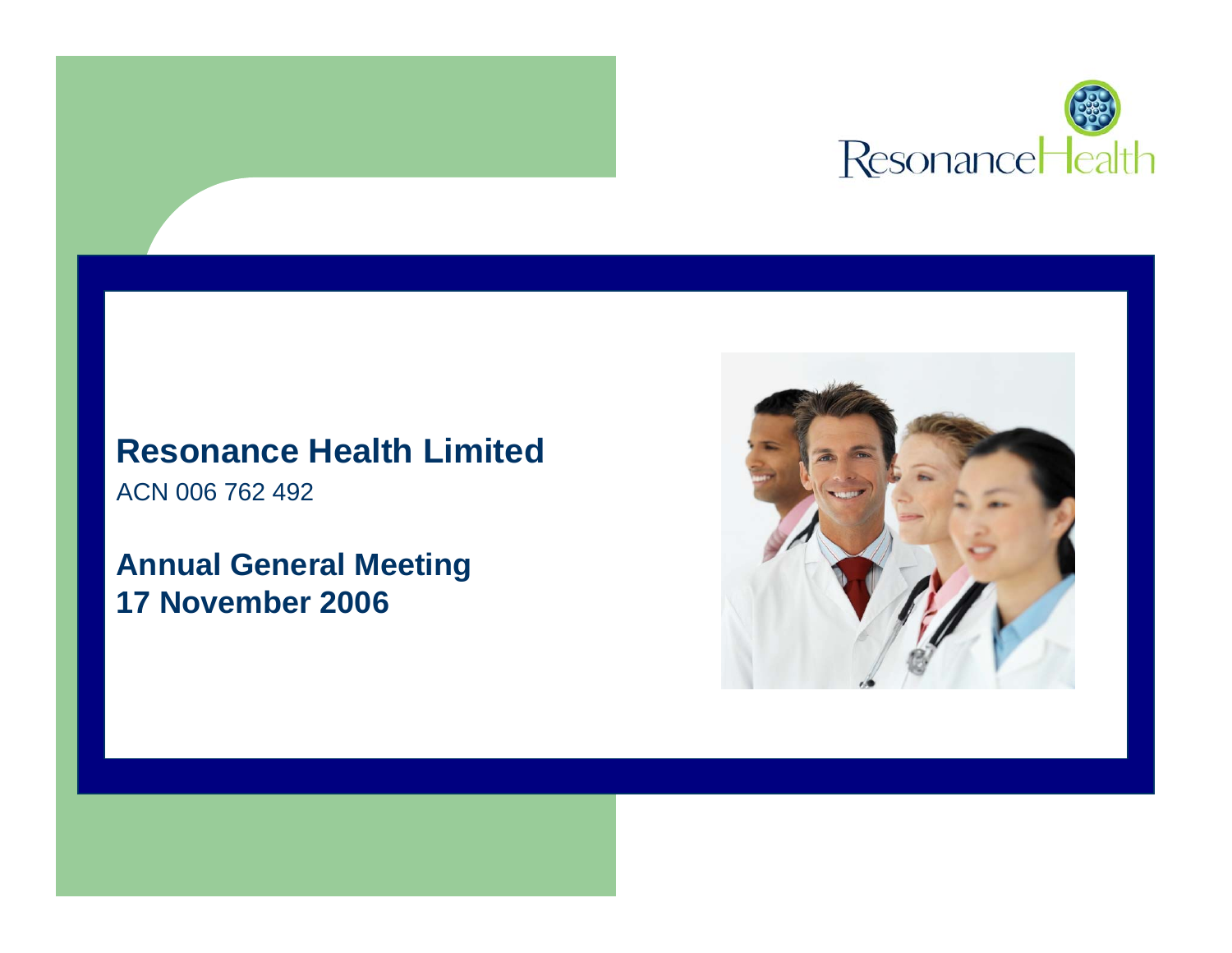

#### **Resonance Health Limited**

ACN 006 762 492

#### **Annual General Meeting 17 November 2006**

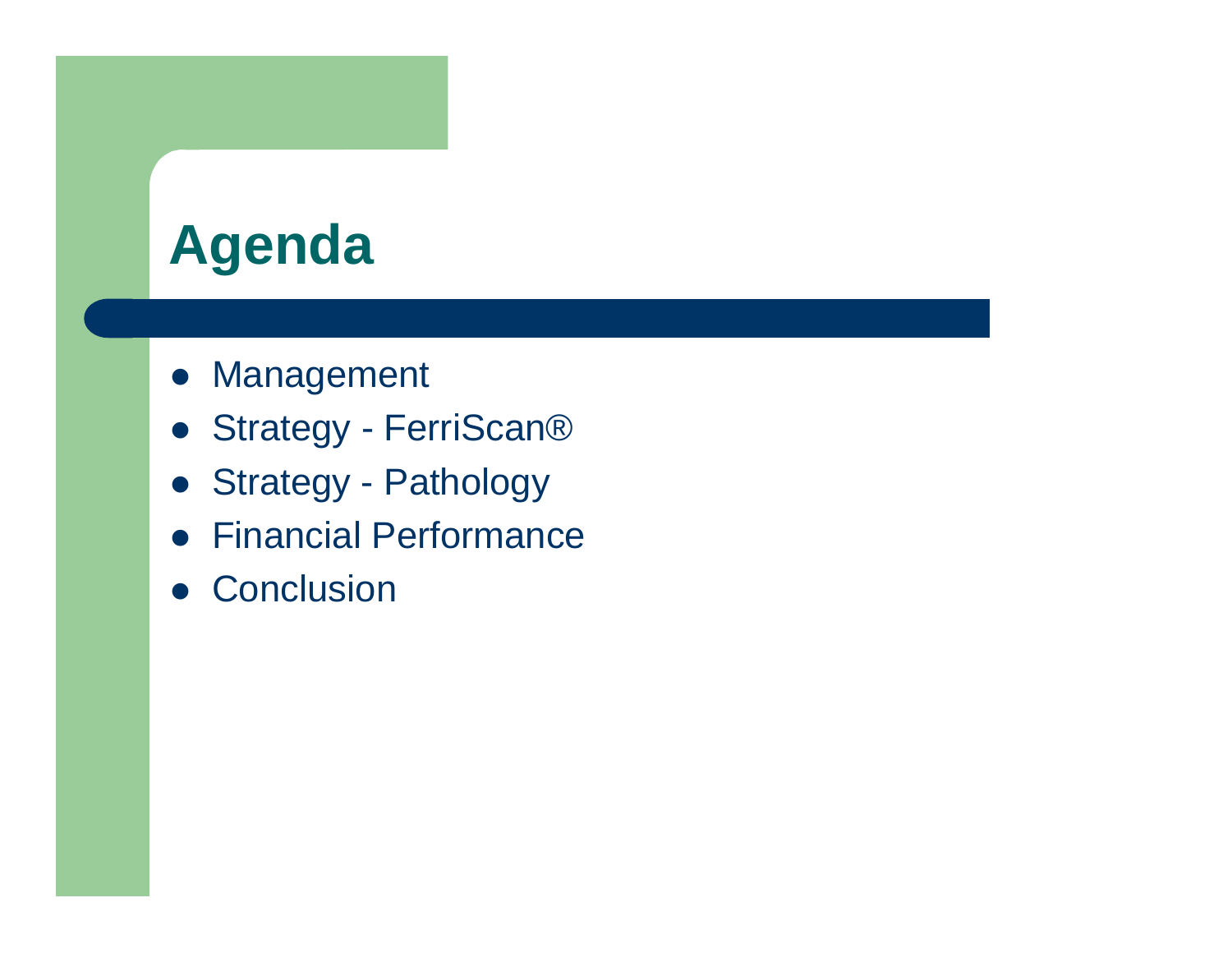### **Agenda**

- Management
- Strategy FerriScan®
- Strategy Pathology
- $\bullet$ Financial Performance
- **Conclusion**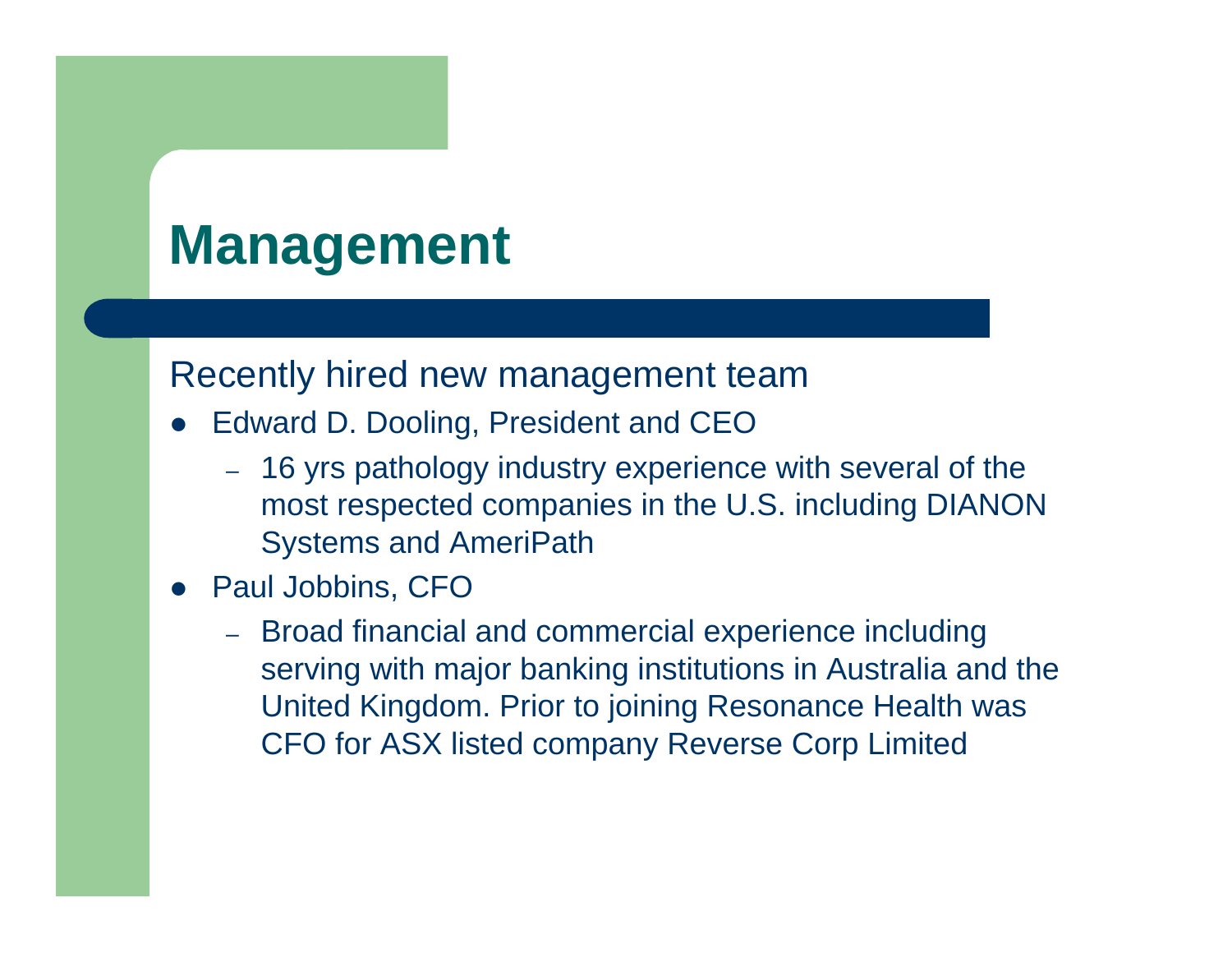### **Management**

#### Recently hired new management team

- $\bullet$  Edward D. Dooling, President and CEO
	- 16 yrs pathology industry experience with several of the most respected companies in the U.S. including DIANON Systems and AmeriPath
- Paul Jobbins, CFO
	- Broad financial and commercial experience including serving with major banking institutions in Australia and the United Kingdom. Prior to joining Resonance Health was CFO for ASX listed company Reverse Corp Limited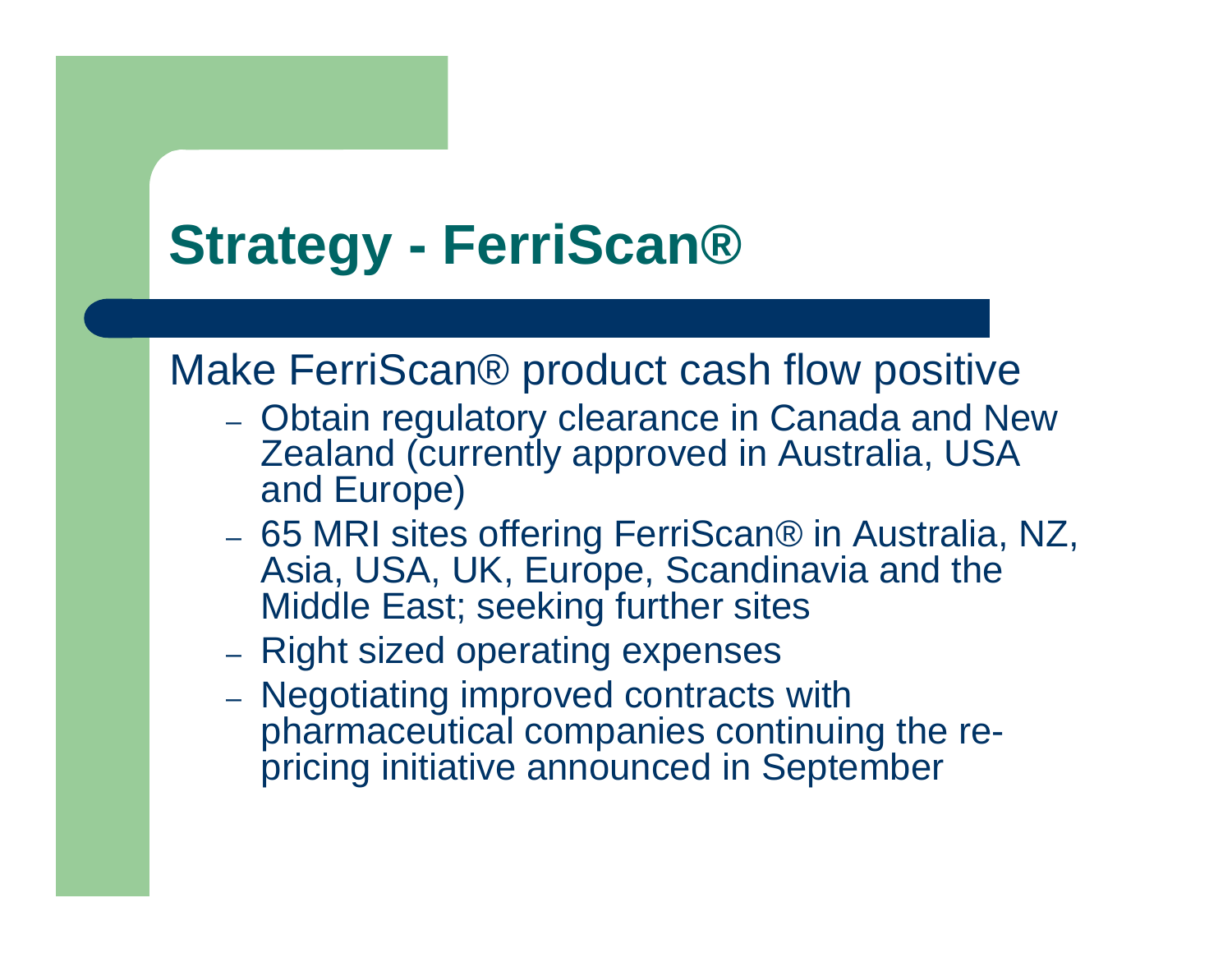### **Strategy - FerriScan®**

### Make FerriScan® product cash flow positive

- $-$  Obtain regulatory clearance in Canada and New Zealand (currently approved in Australia, USA and Europe)
- 65 MRI sites offering FerriScan® in Australia, NZ, Asia, USA, UK, Europe, Scandinavia and the Middle East; seeking further sites
- Right sized operating expenses
- Negotiating improved contracts with pharmaceutical companies continuing the repricing initiative announced in September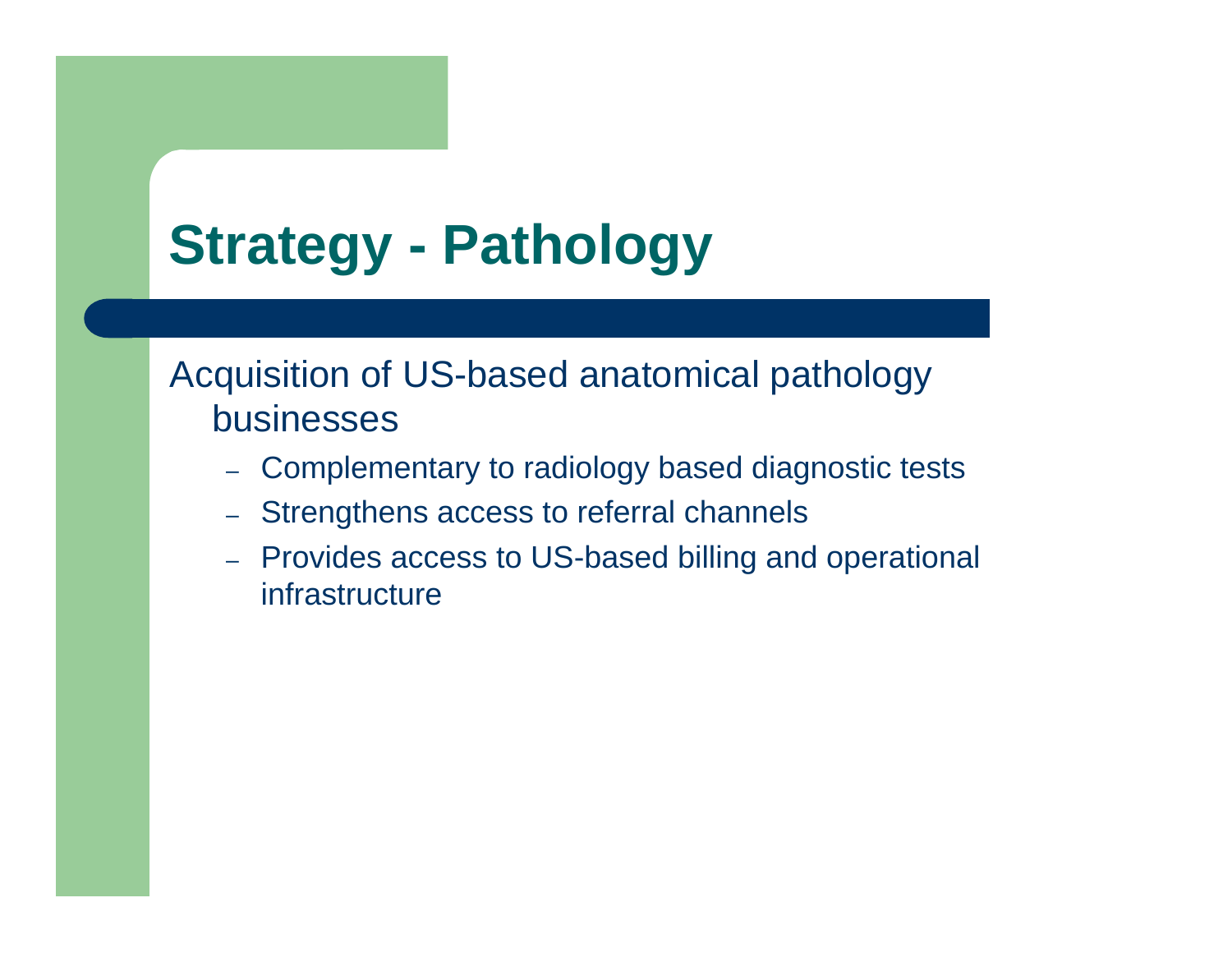### Acquisition of US-based anatomical pathology businesses

- Complementary to radiology based diagnostic tests
- Strengthens access to referral channels
- Provides access to US-based billing and operational infrastructure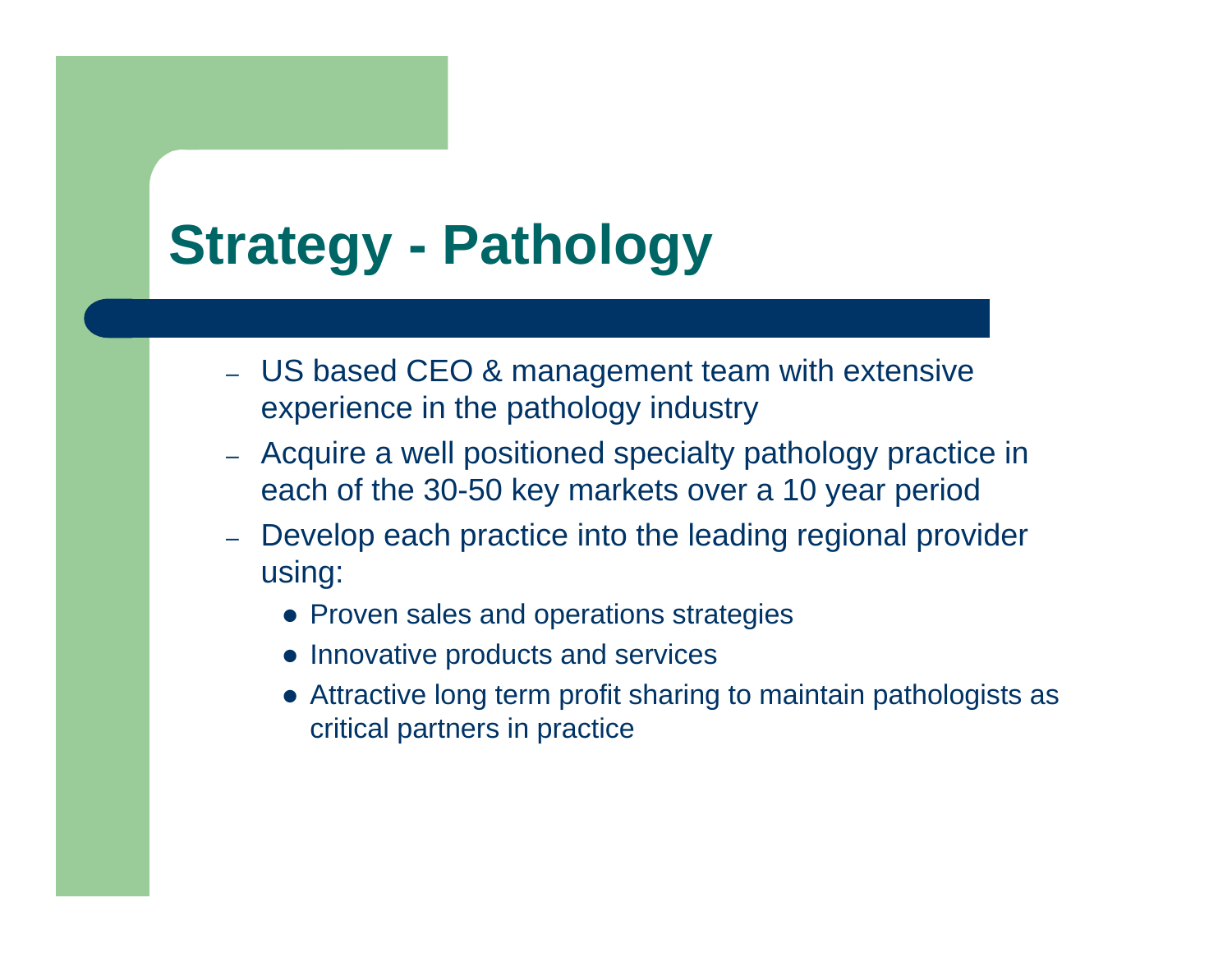- US based CEO & management team with extensive experience in the pathology industry
- Acquire a well positioned specialty pathology practice in each of the 30-50 key markets over a 10 year period
- Develop each practice into the leading regional provider using:
	- Proven sales and operations strategies
	- Innovative products and services
	- Attractive long term profit sharing to maintain pathologists as critical partners in practice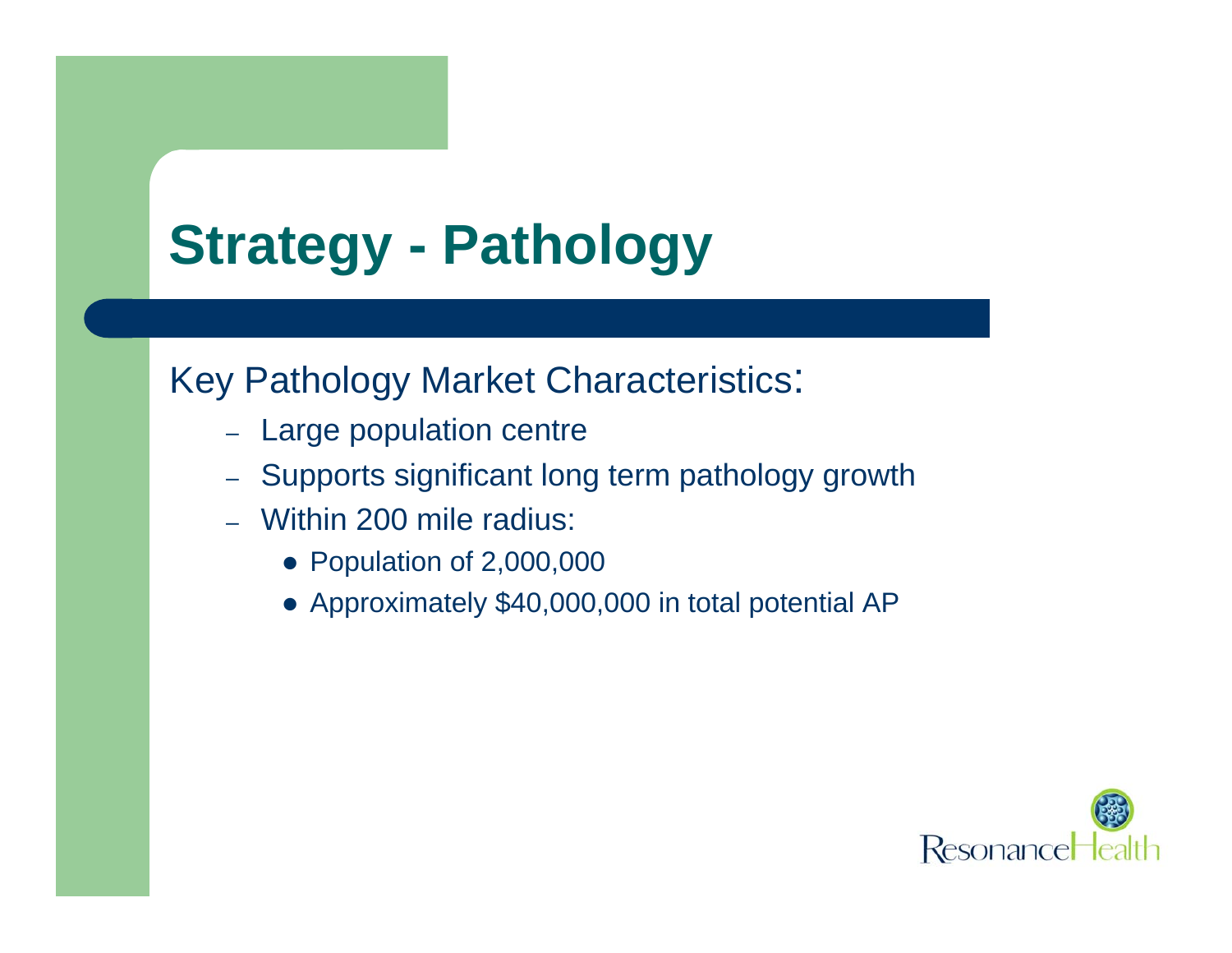### Key Pathology Market Characteristics:

- Large population centre
- Supports significant long term pathology growth
- Within 200 mile radius:
	- Population of 2,000,000
	- Approximately \$40,000,000 in total potential AP

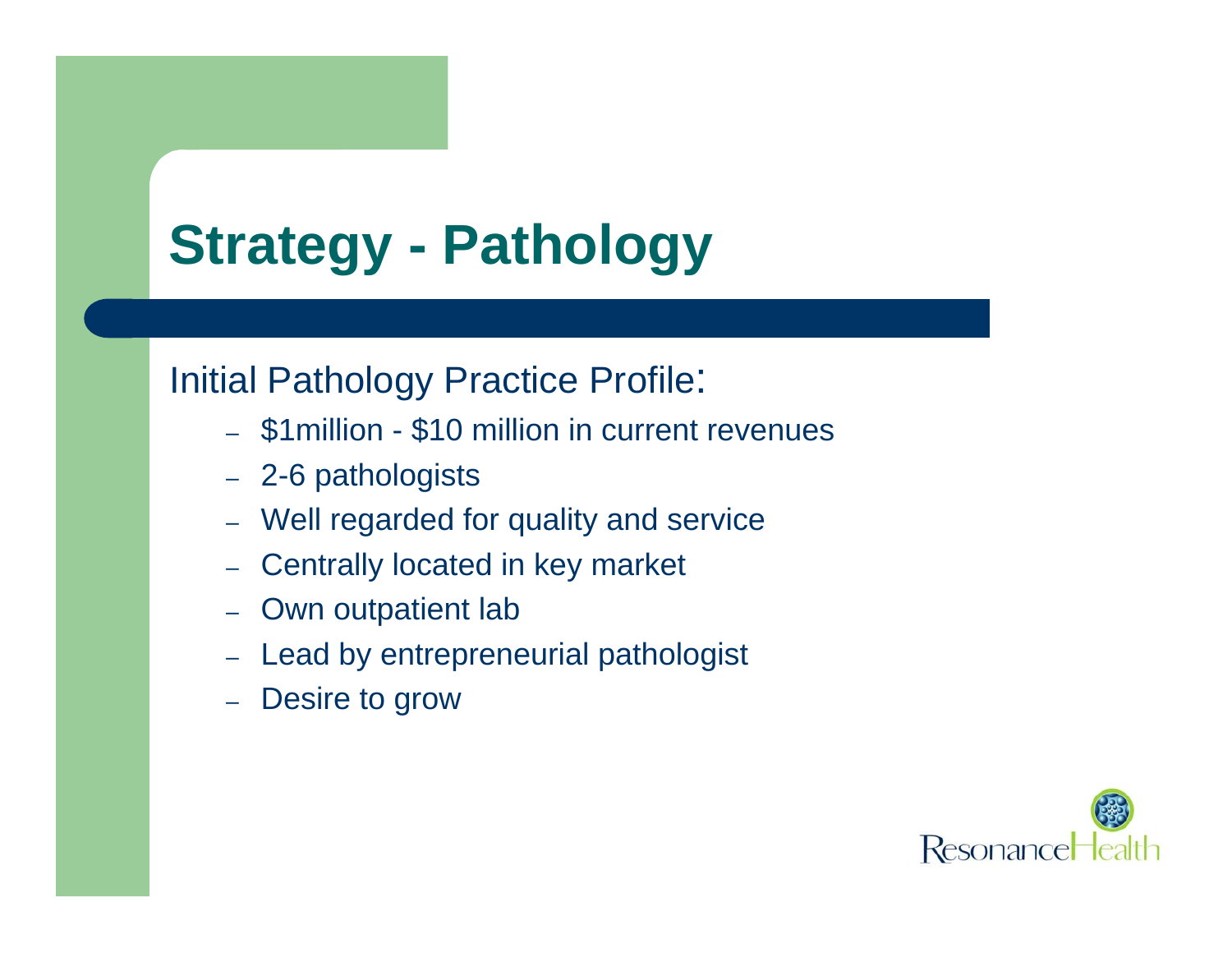### Initial Pathology Practice Profile:

- \$1million \$10 million in current revenues
- 2-6 pathologists
- Well regarded for quality and service
- Centrally located in key market
- Own outpatient lab
- Lead by entrepreneurial pathologist
- Desire to grow

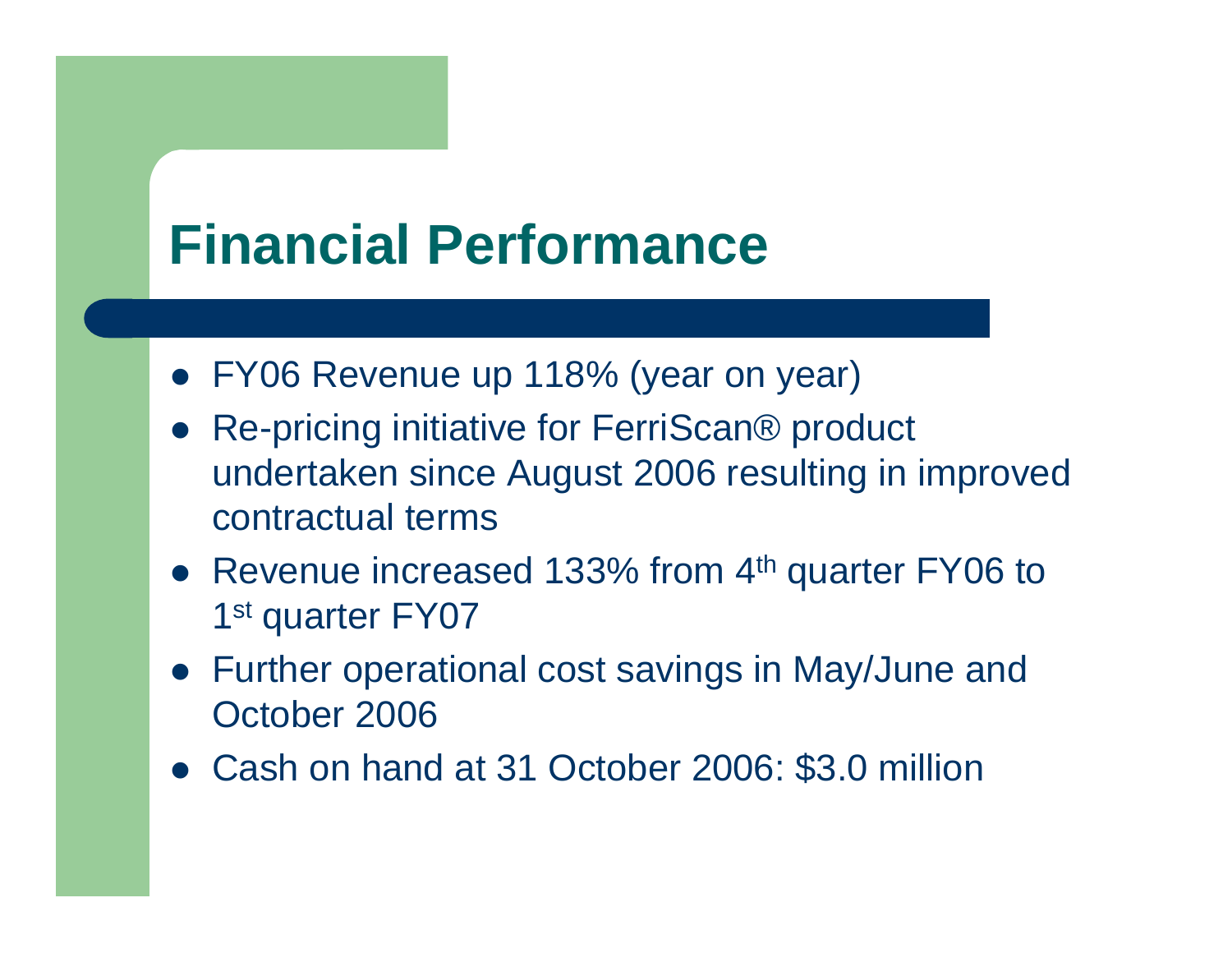### **Financial Performance**

- FY06 Revenue up 118% (year on year)
- $\bullet$  Re-pricing initiative for FerriScan® product undertaken since August 2006 resulting in improved contractual terms
- Revenue increased 133% from 4<sup>th</sup> quarter FY06 to 1<sup>st</sup> quarter FY07
- Further operational cost savings in May/June and October 2006
- Cash on hand at 31 October 2006: \$3.0 million